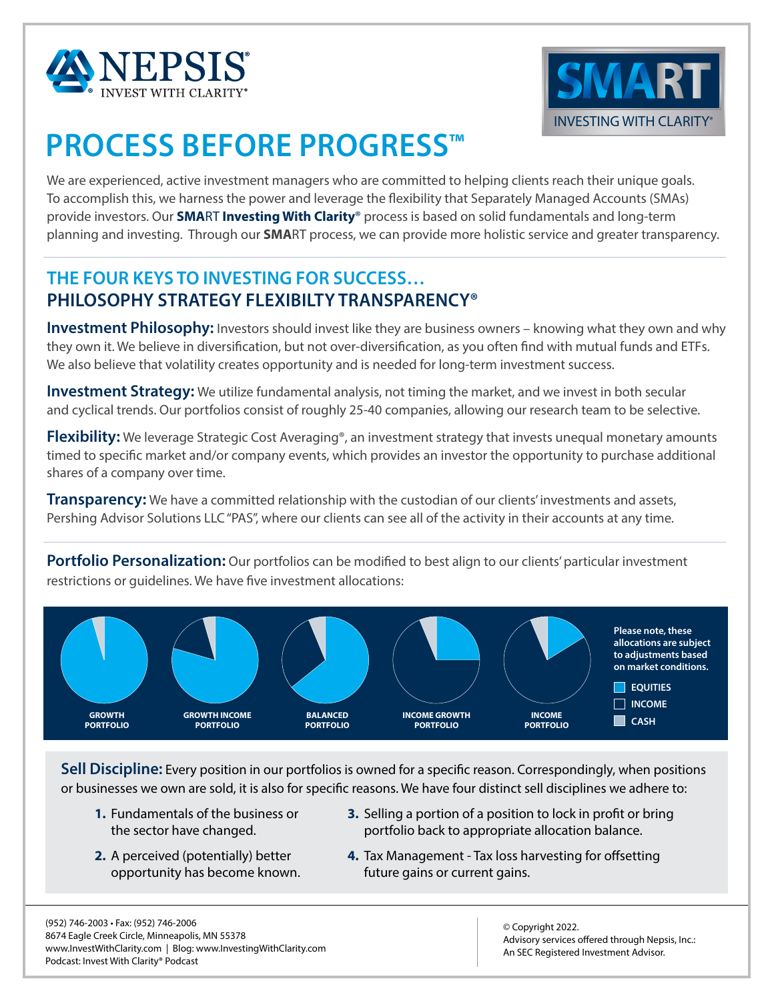



# **PROCESS BEFORE PROGRESS™**

We are experienced, active investment managers who are committed to helping clients reach their unique goals. To accomplish this, we harness the power and leverage the flexibility that Separately Managed Accounts (SMAs) provide investors. Our **SMA**RT **Investing With Clarity**® process is based on solid fundamentals and long-term planning and investing. Through our **SMA**RT process, we can provide more holistic service and greater transparency.

#### **THE FOUR KEYS TO INVESTING FOR SUCCESS… PHILOSOPHY STRATEGY FLEXIBILTY TRANSPARENCY®**

**Investment Philosophy:** Investors should invest like they are business owners – knowing what they own and why they own it. We believe in diversification, but not over-diversification, as you often find with mutual funds and ETFs. We also believe that volatility creates opportunity and is needed for long-term investment success.

**Investment Strategy:** We utilize fundamental analysis, not timing the market, and we invest in both secular and cyclical trends. Our portfolios consist of roughly 25-40 companies, allowing our research team to be selective.

**Flexibility:** We leverage Strategic Cost Averaging<sup>®</sup>, an investment strategy that invests unequal monetary amounts timed to specific market and/or company events, which provides an investor the opportunity to purchase additional shares of a company over time.

**Transparency:** We have a committed relationship with the custodian of our clients' investments and assets, Pershing Advisor Solutions LLC "PAS", where our clients can see all of the activity in their accounts at any time.

**Portfolio Personalization:** Our portfolios can be modified to best align to our clients' particular investment restrictions or guidelines. We have five investment allocations:



**Sell Discipline:** Every position in our portfolios is owned for a specific reason. Correspondingly, when positions or businesses we own are sold, it is also for specific reasons. We have four distinct sell disciplines we adhere to:

- **1.** Fundamentals of the business or the sector have changed.
- **2.** A perceived (potentially) better opportunity has become known.
- **3.** Selling a portion of a position to lock in profit or bring portfolio back to appropriate allocation balance.
- **4.** Tax Management Tax loss harvesting for offsetting future gains or current gains.

Advisory services offered through Nepsis, Inc.: An SEC Registered Investment Advisor. © Copyright 2022.